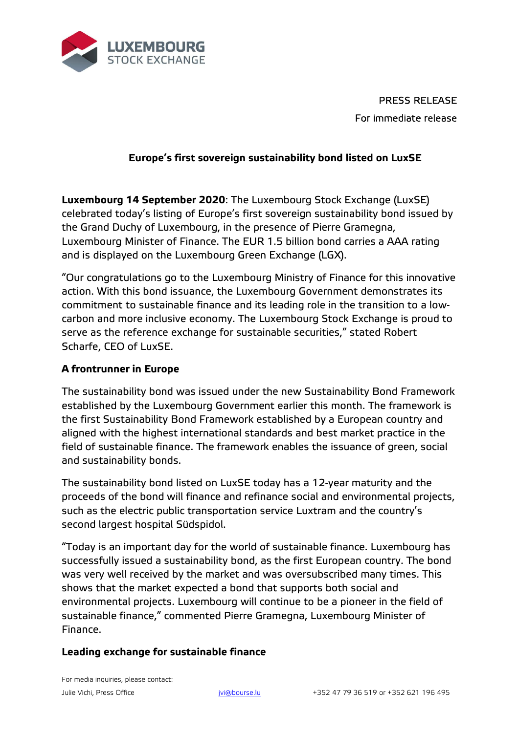

PRESS RELEASE For immediate release

## **Europe's first sovereign sustainability bond listed on LuxSE**

**Luxembourg 14 September 2020**: The Luxembourg Stock Exchange (LuxSE) celebrated today's listing of Europe's first sovereign sustainability bond issued by the Grand Duchy of Luxembourg, in the presence of Pierre Gramegna, Luxembourg Minister of Finance. The EUR 1.5 billion bond carries a AAA rating and is displayed on the Luxembourg Green Exchange (LGX).

"Our congratulations go to the Luxembourg Ministry of Finance for this innovative action. With this bond issuance, the Luxembourg Government demonstrates its commitment to sustainable finance and its leading role in the transition to a lowcarbon and more inclusive economy. The Luxembourg Stock Exchange is proud to serve as the reference exchange for sustainable securities," stated Robert Scharfe, CEO of LuxSE.

## **A frontrunner in Europe**

The sustainability bond was issued under the new Sustainability Bond Framework established by the Luxembourg Government earlier this month. The framework is the first Sustainability Bond Framework established by a European country and aligned with the highest international standards and best market practice in the field of sustainable finance. The framework enables the issuance of green, social and sustainability bonds.

The sustainability bond listed on LuxSE today has a 12-year maturity and the proceeds of the bond will finance and refinance social and environmental projects, such as the electric public transportation service Luxtram and the country's second largest hospital Südspidol.

"Today is an important day for the world of sustainable finance. Luxembourg has successfully issued a sustainability bond, as the first European country. The bond was very well received by the market and was oversubscribed many times. This shows that the market expected a bond that supports both social and environmental projects. Luxembourg will continue to be a pioneer in the field of sustainable finance," commented Pierre Gramegna, Luxembourg Minister of Finance.

## **Leading exchange for sustainable finance**